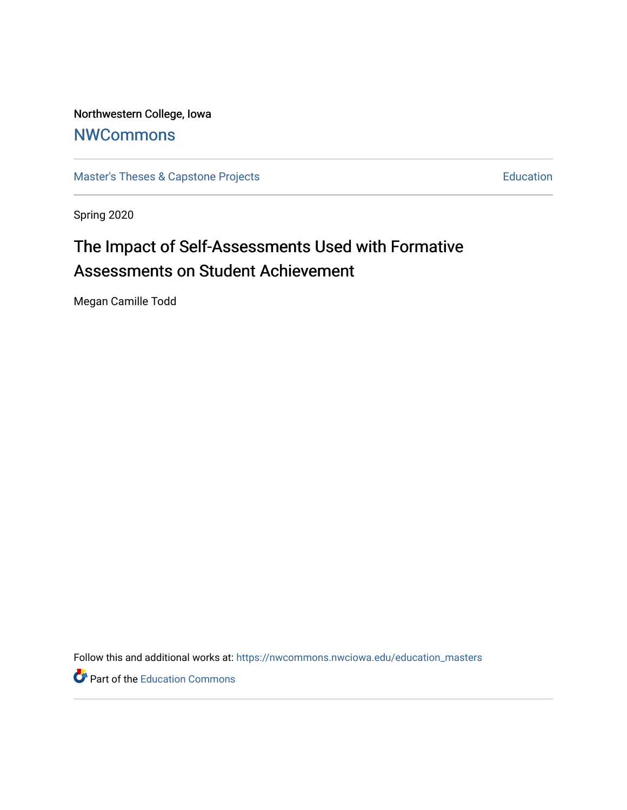Northwestern College, Iowa **[NWCommons](https://nwcommons.nwciowa.edu/)** 

[Master's Theses & Capstone Projects](https://nwcommons.nwciowa.edu/education_masters) **Education** Education

Spring 2020

# The Impact of Self-Assessments Used with Formative Assessments on Student Achievement

Megan Camille Todd

Follow this and additional works at: [https://nwcommons.nwciowa.edu/education\\_masters](https://nwcommons.nwciowa.edu/education_masters?utm_source=nwcommons.nwciowa.edu%2Feducation_masters%2F221&utm_medium=PDF&utm_campaign=PDFCoverPages)

Part of the [Education Commons](http://network.bepress.com/hgg/discipline/784?utm_source=nwcommons.nwciowa.edu%2Feducation_masters%2F221&utm_medium=PDF&utm_campaign=PDFCoverPages)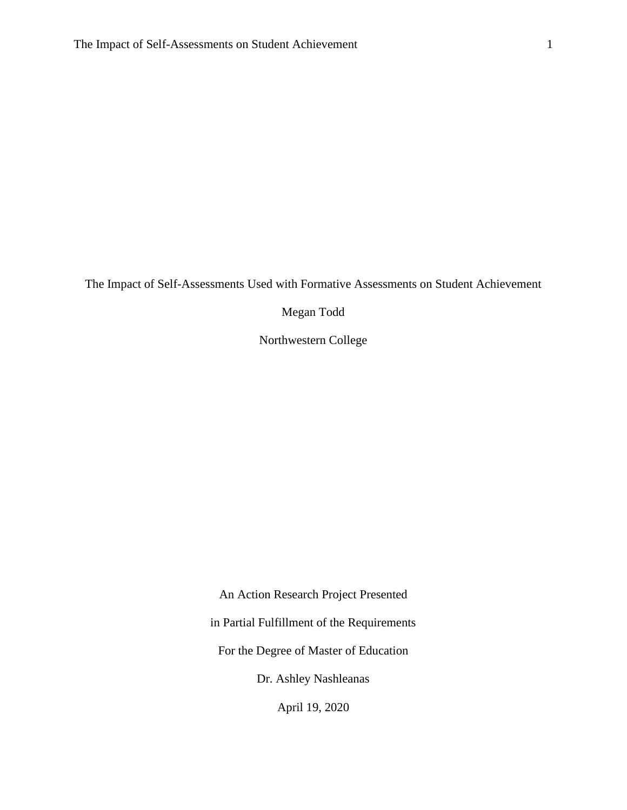The Impact of Self-Assessments Used with Formative Assessments on Student Achievement

Megan Todd

Northwestern College

An Action Research Project Presented in Partial Fulfillment of the Requirements For the Degree of Master of Education Dr. Ashley Nashleanas April 19, 2020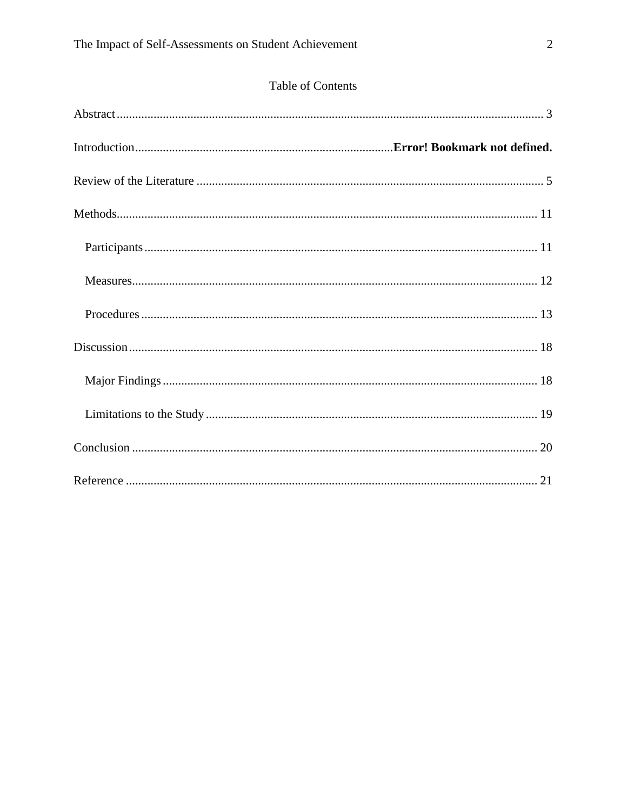|  | <b>Table of Contents</b> |  |
|--|--------------------------|--|
|  |                          |  |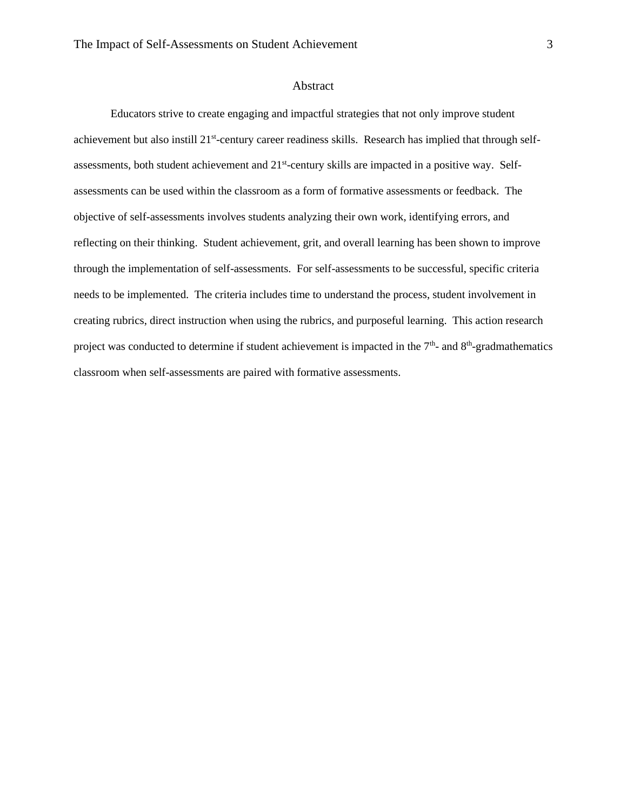#### Abstract

<span id="page-3-0"></span>Educators strive to create engaging and impactful strategies that not only improve student achievement but also instill 21<sup>st</sup>-century career readiness skills. Research has implied that through selfassessments, both student achievement and 21<sup>st</sup>-century skills are impacted in a positive way. Selfassessments can be used within the classroom as a form of formative assessments or feedback. The objective of self-assessments involves students analyzing their own work, identifying errors, and reflecting on their thinking. Student achievement, grit, and overall learning has been shown to improve through the implementation of self-assessments. For self-assessments to be successful, specific criteria needs to be implemented. The criteria includes time to understand the process, student involvement in creating rubrics, direct instruction when using the rubrics, and purposeful learning. This action research project was conducted to determine if student achievement is impacted in the  $7<sup>th</sup>$ - and  $8<sup>th</sup>$ -gradmathematics classroom when self-assessments are paired with formative assessments.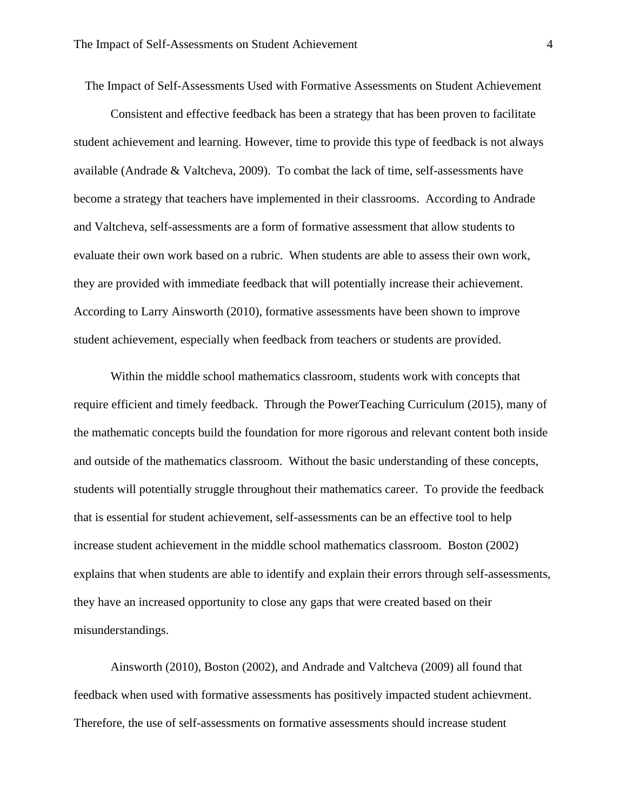The Impact of Self-Assessments Used with Formative Assessments on Student Achievement

Consistent and effective feedback has been a strategy that has been proven to facilitate student achievement and learning. However, time to provide this type of feedback is not always available (Andrade & Valtcheva, 2009). To combat the lack of time, self-assessments have become a strategy that teachers have implemented in their classrooms. According to Andrade and Valtcheva, self-assessments are a form of formative assessment that allow students to evaluate their own work based on a rubric. When students are able to assess their own work, they are provided with immediate feedback that will potentially increase their achievement. According to Larry Ainsworth (2010), formative assessments have been shown to improve student achievement, especially when feedback from teachers or students are provided.

Within the middle school mathematics classroom, students work with concepts that require efficient and timely feedback. Through the PowerTeaching Curriculum (2015), many of the mathematic concepts build the foundation for more rigorous and relevant content both inside and outside of the mathematics classroom. Without the basic understanding of these concepts, students will potentially struggle throughout their mathematics career. To provide the feedback that is essential for student achievement, self-assessments can be an effective tool to help increase student achievement in the middle school mathematics classroom. Boston (2002) explains that when students are able to identify and explain their errors through self-assessments, they have an increased opportunity to close any gaps that were created based on their misunderstandings.

Ainsworth (2010), Boston (2002), and Andrade and Valtcheva (2009) all found that feedback when used with formative assessments has positively impacted student achievment. Therefore, the use of self-assessments on formative assessments should increase student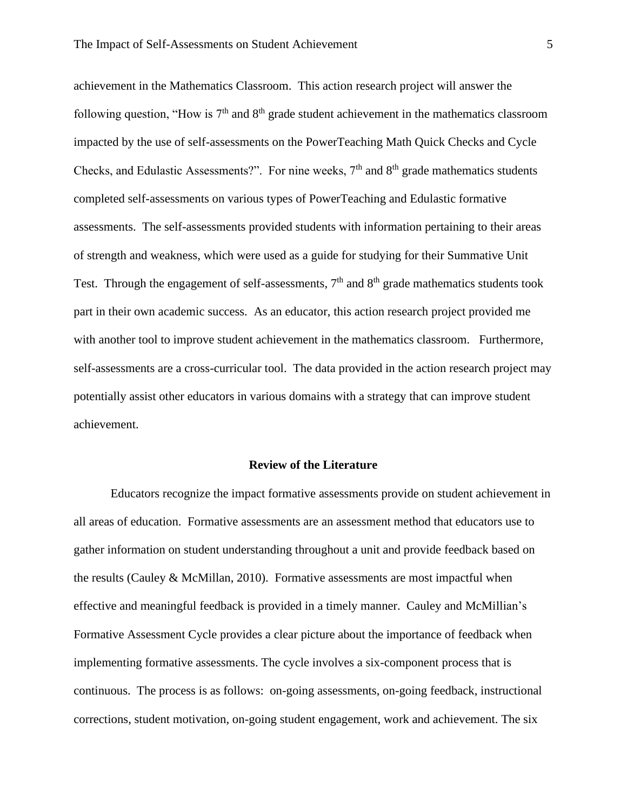achievement in the Mathematics Classroom. This action research project will answer the following question, "How is  $7<sup>th</sup>$  and  $8<sup>th</sup>$  grade student achievement in the mathematics classroom impacted by the use of self-assessments on the PowerTeaching Math Quick Checks and Cycle Checks, and Edulastic Assessments?". For nine weeks,  $7<sup>th</sup>$  and  $8<sup>th</sup>$  grade mathematics students completed self-assessments on various types of PowerTeaching and Edulastic formative assessments. The self-assessments provided students with information pertaining to their areas of strength and weakness, which were used as a guide for studying for their Summative Unit Test. Through the engagement of self-assessments,  $7<sup>th</sup>$  and  $8<sup>th</sup>$  grade mathematics students took part in their own academic success. As an educator, this action research project provided me with another tool to improve student achievement in the mathematics classroom. Furthermore, self-assessments are a cross-curricular tool. The data provided in the action research project may potentially assist other educators in various domains with a strategy that can improve student achievement.

#### **Review of the Literature**

<span id="page-5-0"></span>Educators recognize the impact formative assessments provide on student achievement in all areas of education. Formative assessments are an assessment method that educators use to gather information on student understanding throughout a unit and provide feedback based on the results (Cauley & McMillan, 2010). Formative assessments are most impactful when effective and meaningful feedback is provided in a timely manner. Cauley and McMillian's Formative Assessment Cycle provides a clear picture about the importance of feedback when implementing formative assessments. The cycle involves a six-component process that is continuous. The process is as follows: on-going assessments, on-going feedback, instructional corrections, student motivation, on-going student engagement, work and achievement. The six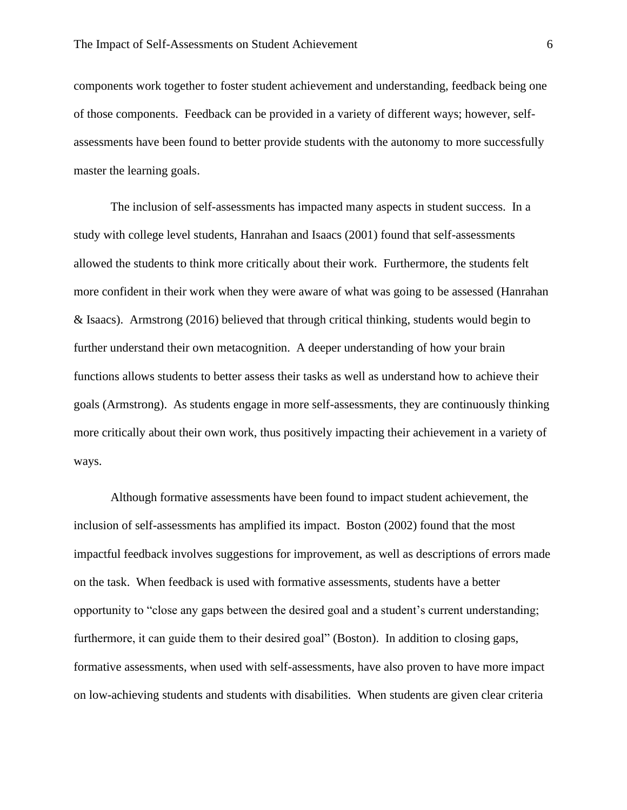components work together to foster student achievement and understanding, feedback being one of those components. Feedback can be provided in a variety of different ways; however, selfassessments have been found to better provide students with the autonomy to more successfully master the learning goals.

The inclusion of self-assessments has impacted many aspects in student success. In a study with college level students, Hanrahan and Isaacs (2001) found that self-assessments allowed the students to think more critically about their work. Furthermore, the students felt more confident in their work when they were aware of what was going to be assessed (Hanrahan & Isaacs). Armstrong (2016) believed that through critical thinking, students would begin to further understand their own metacognition. A deeper understanding of how your brain functions allows students to better assess their tasks as well as understand how to achieve their goals (Armstrong). As students engage in more self-assessments, they are continuously thinking more critically about their own work, thus positively impacting their achievement in a variety of ways.

Although formative assessments have been found to impact student achievement, the inclusion of self-assessments has amplified its impact. Boston (2002) found that the most impactful feedback involves suggestions for improvement, as well as descriptions of errors made on the task. When feedback is used with formative assessments, students have a better opportunity to "close any gaps between the desired goal and a student's current understanding; furthermore, it can guide them to their desired goal" (Boston). In addition to closing gaps, formative assessments, when used with self-assessments, have also proven to have more impact on low-achieving students and students with disabilities. When students are given clear criteria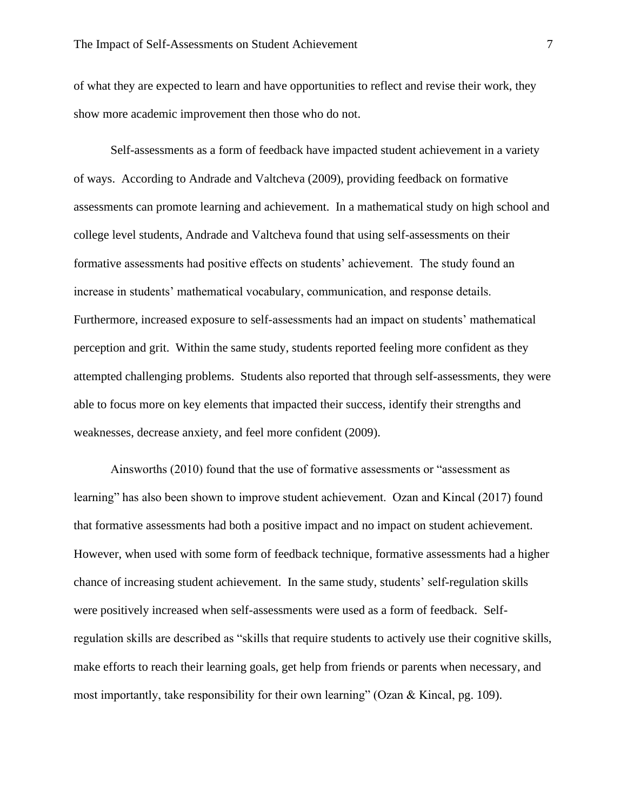of what they are expected to learn and have opportunities to reflect and revise their work, they show more academic improvement then those who do not.

Self-assessments as a form of feedback have impacted student achievement in a variety of ways. According to Andrade and Valtcheva (2009), providing feedback on formative assessments can promote learning and achievement. In a mathematical study on high school and college level students, Andrade and Valtcheva found that using self-assessments on their formative assessments had positive effects on students' achievement. The study found an increase in students' mathematical vocabulary, communication, and response details. Furthermore, increased exposure to self-assessments had an impact on students' mathematical perception and grit. Within the same study, students reported feeling more confident as they attempted challenging problems. Students also reported that through self-assessments, they were able to focus more on key elements that impacted their success, identify their strengths and weaknesses, decrease anxiety, and feel more confident (2009).

Ainsworths (2010) found that the use of formative assessments or "assessment as learning" has also been shown to improve student achievement. Ozan and Kincal (2017) found that formative assessments had both a positive impact and no impact on student achievement. However, when used with some form of feedback technique, formative assessments had a higher chance of increasing student achievement. In the same study, students' self-regulation skills were positively increased when self-assessments were used as a form of feedback. Selfregulation skills are described as "skills that require students to actively use their cognitive skills, make efforts to reach their learning goals, get help from friends or parents when necessary, and most importantly, take responsibility for their own learning" (Ozan & Kincal, pg. 109).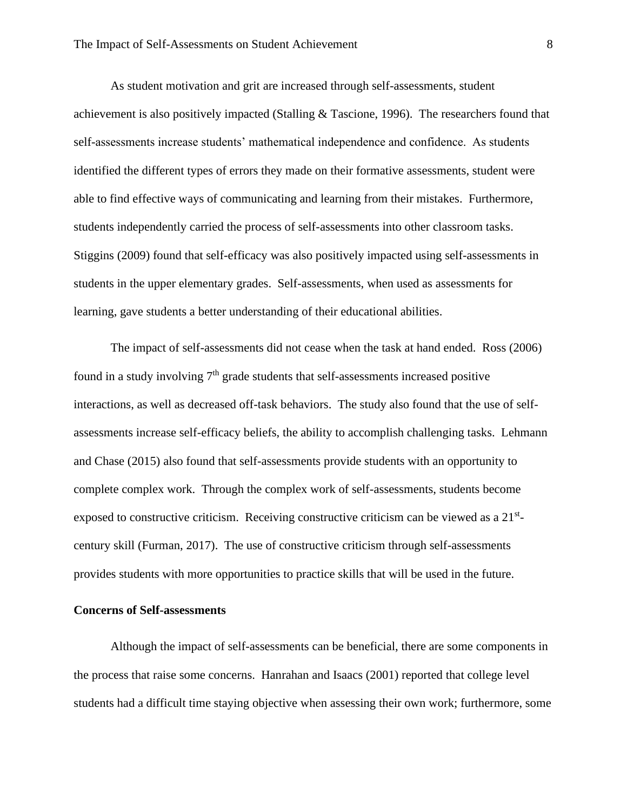As student motivation and grit are increased through self-assessments, student achievement is also positively impacted (Stalling & Tascione, 1996). The researchers found that self-assessments increase students' mathematical independence and confidence. As students identified the different types of errors they made on their formative assessments, student were able to find effective ways of communicating and learning from their mistakes. Furthermore, students independently carried the process of self-assessments into other classroom tasks. Stiggins (2009) found that self-efficacy was also positively impacted using self-assessments in students in the upper elementary grades. Self-assessments, when used as assessments for learning, gave students a better understanding of their educational abilities.

The impact of self-assessments did not cease when the task at hand ended. Ross (2006) found in a study involving  $7<sup>th</sup>$  grade students that self-assessments increased positive interactions, as well as decreased off-task behaviors. The study also found that the use of selfassessments increase self-efficacy beliefs, the ability to accomplish challenging tasks. Lehmann and Chase (2015) also found that self-assessments provide students with an opportunity to complete complex work. Through the complex work of self-assessments, students become exposed to constructive criticism. Receiving constructive criticism can be viewed as a  $21^{st}$ century skill (Furman, 2017). The use of constructive criticism through self-assessments provides students with more opportunities to practice skills that will be used in the future.

### **Concerns of Self-assessments**

Although the impact of self-assessments can be beneficial, there are some components in the process that raise some concerns. Hanrahan and Isaacs (2001) reported that college level students had a difficult time staying objective when assessing their own work; furthermore, some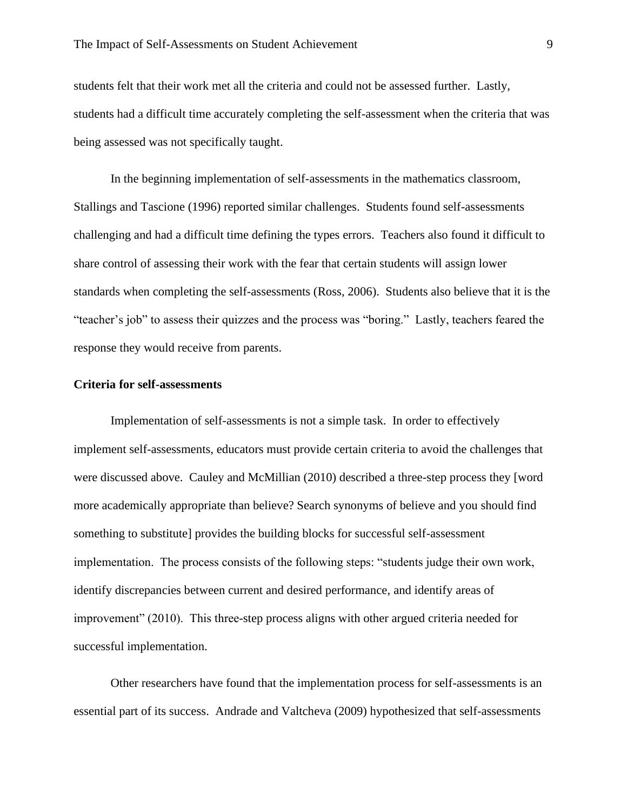students felt that their work met all the criteria and could not be assessed further. Lastly, students had a difficult time accurately completing the self-assessment when the criteria that was being assessed was not specifically taught.

In the beginning implementation of self-assessments in the mathematics classroom, Stallings and Tascione (1996) reported similar challenges. Students found self-assessments challenging and had a difficult time defining the types errors. Teachers also found it difficult to share control of assessing their work with the fear that certain students will assign lower standards when completing the self-assessments (Ross, 2006). Students also believe that it is the "teacher's job" to assess their quizzes and the process was "boring." Lastly, teachers feared the response they would receive from parents.

### **Criteria for self-assessments**

Implementation of self-assessments is not a simple task. In order to effectively implement self-assessments, educators must provide certain criteria to avoid the challenges that were discussed above. Cauley and McMillian (2010) described a three-step process they [word more academically appropriate than believe? Search synonyms of believe and you should find something to substitute] provides the building blocks for successful self-assessment implementation. The process consists of the following steps: "students judge their own work, identify discrepancies between current and desired performance, and identify areas of improvement" (2010). This three-step process aligns with other argued criteria needed for successful implementation.

Other researchers have found that the implementation process for self-assessments is an essential part of its success. Andrade and Valtcheva (2009) hypothesized that self-assessments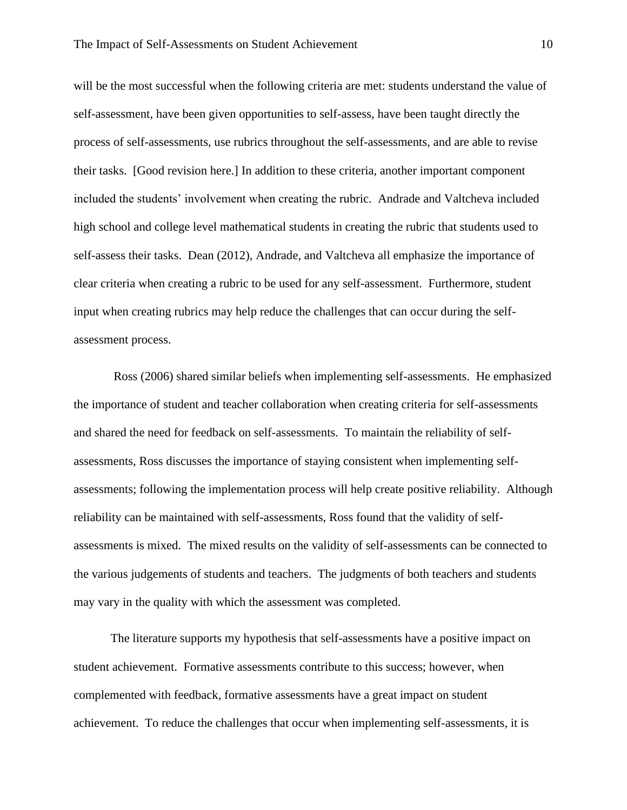will be the most successful when the following criteria are met: students understand the value of self-assessment, have been given opportunities to self-assess, have been taught directly the process of self-assessments, use rubrics throughout the self-assessments, and are able to revise their tasks. [Good revision here.] In addition to these criteria, another important component included the students' involvement when creating the rubric. Andrade and Valtcheva included high school and college level mathematical students in creating the rubric that students used to self-assess their tasks. Dean (2012), Andrade, and Valtcheva all emphasize the importance of clear criteria when creating a rubric to be used for any self-assessment. Furthermore, student input when creating rubrics may help reduce the challenges that can occur during the selfassessment process.

Ross (2006) shared similar beliefs when implementing self-assessments. He emphasized the importance of student and teacher collaboration when creating criteria for self-assessments and shared the need for feedback on self-assessments. To maintain the reliability of selfassessments, Ross discusses the importance of staying consistent when implementing selfassessments; following the implementation process will help create positive reliability. Although reliability can be maintained with self-assessments, Ross found that the validity of selfassessments is mixed. The mixed results on the validity of self-assessments can be connected to the various judgements of students and teachers. The judgments of both teachers and students may vary in the quality with which the assessment was completed.

The literature supports my hypothesis that self-assessments have a positive impact on student achievement. Formative assessments contribute to this success; however, when complemented with feedback, formative assessments have a great impact on student achievement. To reduce the challenges that occur when implementing self-assessments, it is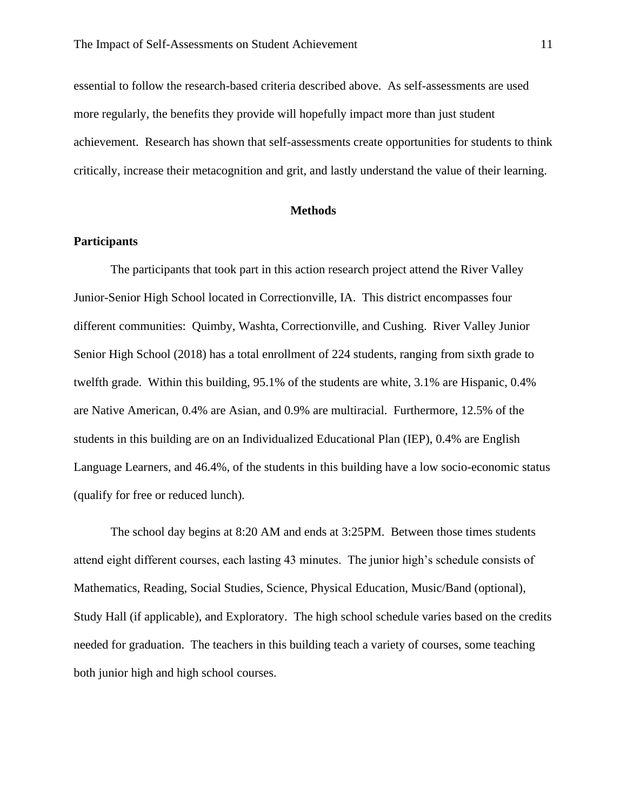essential to follow the research-based criteria described above. As self-assessments are used more regularly, the benefits they provide will hopefully impact more than just student achievement. Research has shown that self-assessments create opportunities for students to think critically, increase their metacognition and grit, and lastly understand the value of their learning.

## **Methods**

### <span id="page-11-1"></span><span id="page-11-0"></span>**Participants**

The participants that took part in this action research project attend the River Valley Junior-Senior High School located in Correctionville, IA. This district encompasses four different communities: Quimby, Washta, Correctionville, and Cushing. River Valley Junior Senior High School (2018) has a total enrollment of 224 students, ranging from sixth grade to twelfth grade. Within this building, 95.1% of the students are white, 3.1% are Hispanic, 0.4% are Native American, 0.4% are Asian, and 0.9% are multiracial. Furthermore, 12.5% of the students in this building are on an Individualized Educational Plan (IEP), 0.4% are English Language Learners, and 46.4%, of the students in this building have a low socio-economic status (qualify for free or reduced lunch).

The school day begins at 8:20 AM and ends at 3:25PM. Between those times students attend eight different courses, each lasting 43 minutes. The junior high's schedule consists of Mathematics, Reading, Social Studies, Science, Physical Education, Music/Band (optional), Study Hall (if applicable), and Exploratory. The high school schedule varies based on the credits needed for graduation. The teachers in this building teach a variety of courses, some teaching both junior high and high school courses.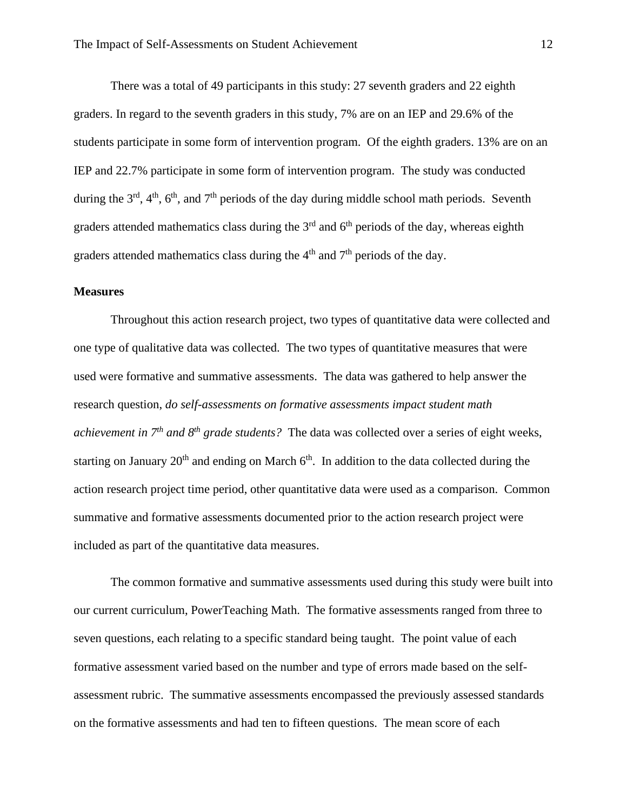There was a total of 49 participants in this study: 27 seventh graders and 22 eighth graders. In regard to the seventh graders in this study, 7% are on an IEP and 29.6% of the students participate in some form of intervention program. Of the eighth graders. 13% are on an IEP and 22.7% participate in some form of intervention program. The study was conducted during the  $3<sup>rd</sup>$ ,  $4<sup>th</sup>$ ,  $6<sup>th</sup>$ , and  $7<sup>th</sup>$  periods of the day during middle school math periods. Seventh graders attended mathematics class during the  $3<sup>rd</sup>$  and  $6<sup>th</sup>$  periods of the day, whereas eighth graders attended mathematics class during the  $4<sup>th</sup>$  and  $7<sup>th</sup>$  periods of the day.

### <span id="page-12-0"></span>**Measures**

Throughout this action research project, two types of quantitative data were collected and one type of qualitative data was collected. The two types of quantitative measures that were used were formative and summative assessments. The data was gathered to help answer the research question, *do self-assessments on formative assessments impact student math achievement in 7th and 8th grade students?* The data was collected over a series of eight weeks, starting on January  $20<sup>th</sup>$  and ending on March  $6<sup>th</sup>$ . In addition to the data collected during the action research project time period, other quantitative data were used as a comparison. Common summative and formative assessments documented prior to the action research project were included as part of the quantitative data measures.

The common formative and summative assessments used during this study were built into our current curriculum, PowerTeaching Math. The formative assessments ranged from three to seven questions, each relating to a specific standard being taught. The point value of each formative assessment varied based on the number and type of errors made based on the selfassessment rubric. The summative assessments encompassed the previously assessed standards on the formative assessments and had ten to fifteen questions. The mean score of each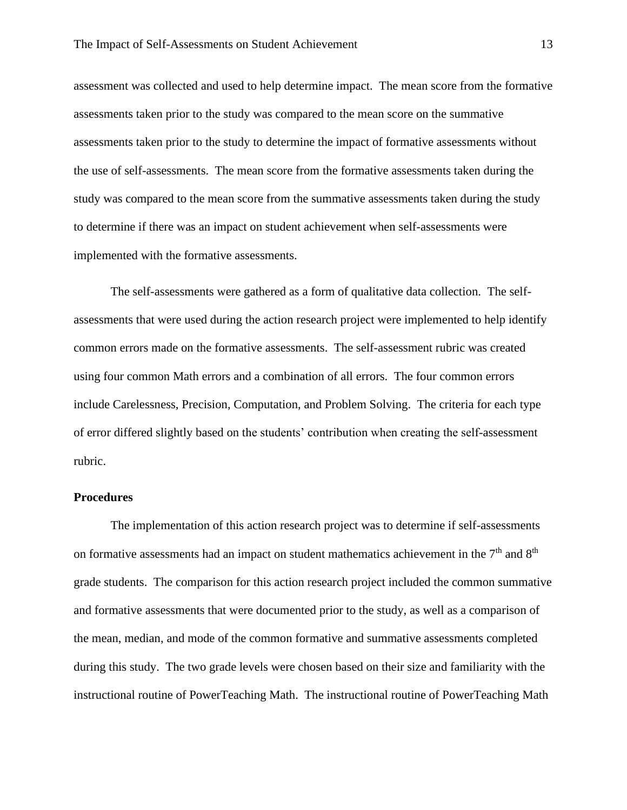assessment was collected and used to help determine impact. The mean score from the formative assessments taken prior to the study was compared to the mean score on the summative assessments taken prior to the study to determine the impact of formative assessments without the use of self-assessments. The mean score from the formative assessments taken during the study was compared to the mean score from the summative assessments taken during the study to determine if there was an impact on student achievement when self-assessments were implemented with the formative assessments.

The self-assessments were gathered as a form of qualitative data collection. The selfassessments that were used during the action research project were implemented to help identify common errors made on the formative assessments. The self-assessment rubric was created using four common Math errors and a combination of all errors. The four common errors include Carelessness, Precision, Computation, and Problem Solving. The criteria for each type of error differed slightly based on the students' contribution when creating the self-assessment rubric.

### <span id="page-13-0"></span>**Procedures**

The implementation of this action research project was to determine if self-assessments on formative assessments had an impact on student mathematics achievement in the  $7<sup>th</sup>$  and  $8<sup>th</sup>$ grade students. The comparison for this action research project included the common summative and formative assessments that were documented prior to the study, as well as a comparison of the mean, median, and mode of the common formative and summative assessments completed during this study. The two grade levels were chosen based on their size and familiarity with the instructional routine of PowerTeaching Math. The instructional routine of PowerTeaching Math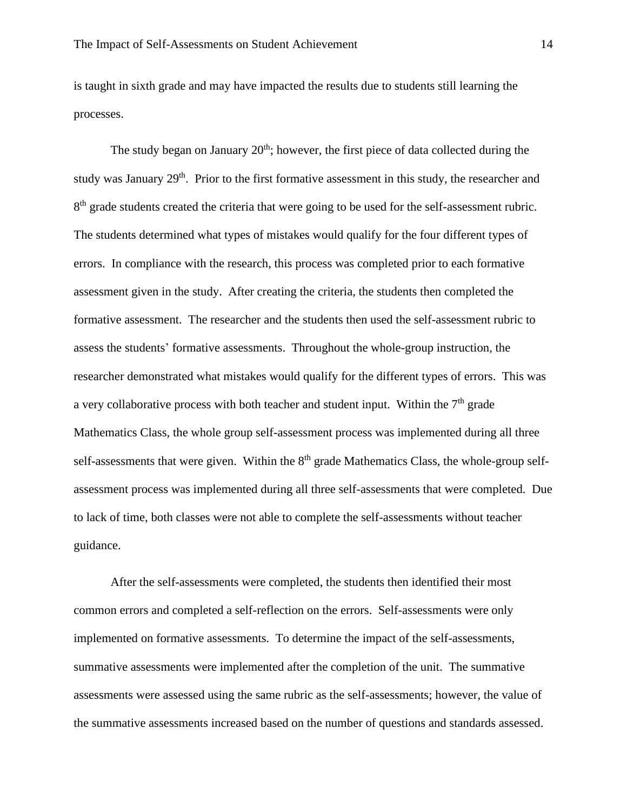is taught in sixth grade and may have impacted the results due to students still learning the processes.

The study began on January  $20<sup>th</sup>$ ; however, the first piece of data collected during the study was January 29<sup>th</sup>. Prior to the first formative assessment in this study, the researcher and 8<sup>th</sup> grade students created the criteria that were going to be used for the self-assessment rubric. The students determined what types of mistakes would qualify for the four different types of errors. In compliance with the research, this process was completed prior to each formative assessment given in the study. After creating the criteria, the students then completed the formative assessment. The researcher and the students then used the self-assessment rubric to assess the students' formative assessments. Throughout the whole-group instruction, the researcher demonstrated what mistakes would qualify for the different types of errors. This was a very collaborative process with both teacher and student input. Within the  $7<sup>th</sup>$  grade Mathematics Class, the whole group self-assessment process was implemented during all three self-assessments that were given. Within the  $8<sup>th</sup>$  grade Mathematics Class, the whole-group selfassessment process was implemented during all three self-assessments that were completed. Due to lack of time, both classes were not able to complete the self-assessments without teacher guidance.

After the self-assessments were completed, the students then identified their most common errors and completed a self-reflection on the errors. Self-assessments were only implemented on formative assessments. To determine the impact of the self-assessments, summative assessments were implemented after the completion of the unit. The summative assessments were assessed using the same rubric as the self-assessments; however, the value of the summative assessments increased based on the number of questions and standards assessed.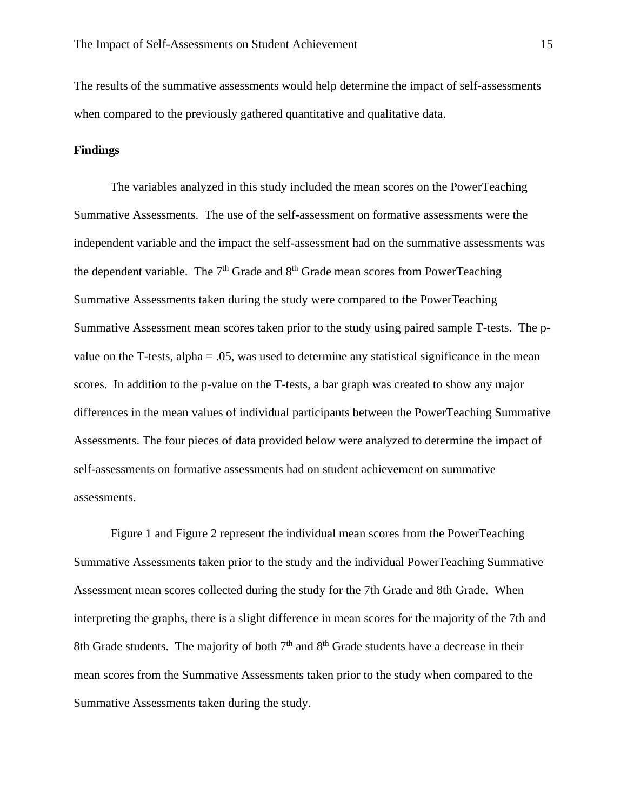The results of the summative assessments would help determine the impact of self-assessments when compared to the previously gathered quantitative and qualitative data.

### **Findings**

The variables analyzed in this study included the mean scores on the PowerTeaching Summative Assessments. The use of the self-assessment on formative assessments were the independent variable and the impact the self-assessment had on the summative assessments was the dependent variable. The  $7<sup>th</sup>$  Grade and  $8<sup>th</sup>$  Grade mean scores from PowerTeaching Summative Assessments taken during the study were compared to the PowerTeaching Summative Assessment mean scores taken prior to the study using paired sample T-tests. The pvalue on the T-tests, alpha  $= .05$ , was used to determine any statistical significance in the mean scores. In addition to the p-value on the T-tests, a bar graph was created to show any major differences in the mean values of individual participants between the PowerTeaching Summative Assessments. The four pieces of data provided below were analyzed to determine the impact of self-assessments on formative assessments had on student achievement on summative assessments.

Figure 1 and Figure 2 represent the individual mean scores from the PowerTeaching Summative Assessments taken prior to the study and the individual PowerTeaching Summative Assessment mean scores collected during the study for the 7th Grade and 8th Grade. When interpreting the graphs, there is a slight difference in mean scores for the majority of the 7th and 8th Grade students. The majority of both  $7<sup>th</sup>$  and  $8<sup>th</sup>$  Grade students have a decrease in their mean scores from the Summative Assessments taken prior to the study when compared to the Summative Assessments taken during the study.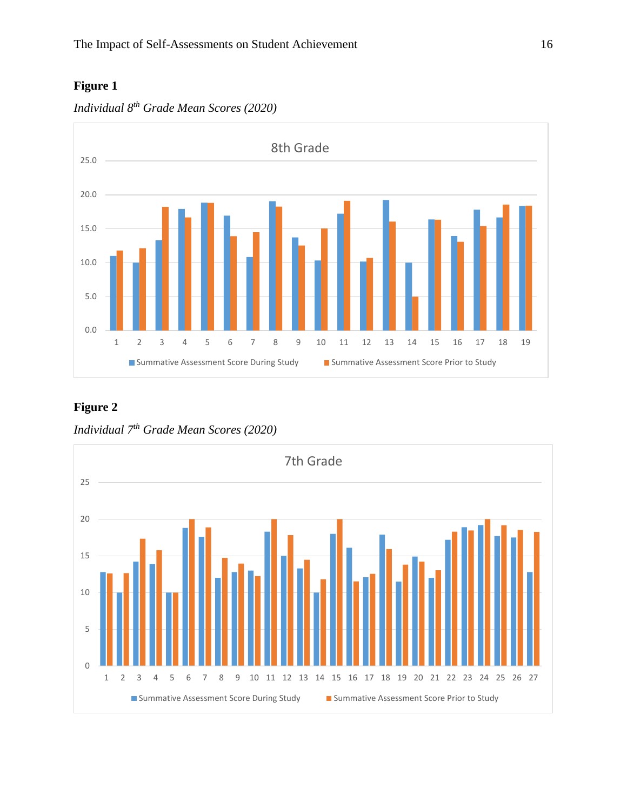# **Figure 1**





# **Figure 2**

*Individual 7th Grade Mean Scores (2020)*

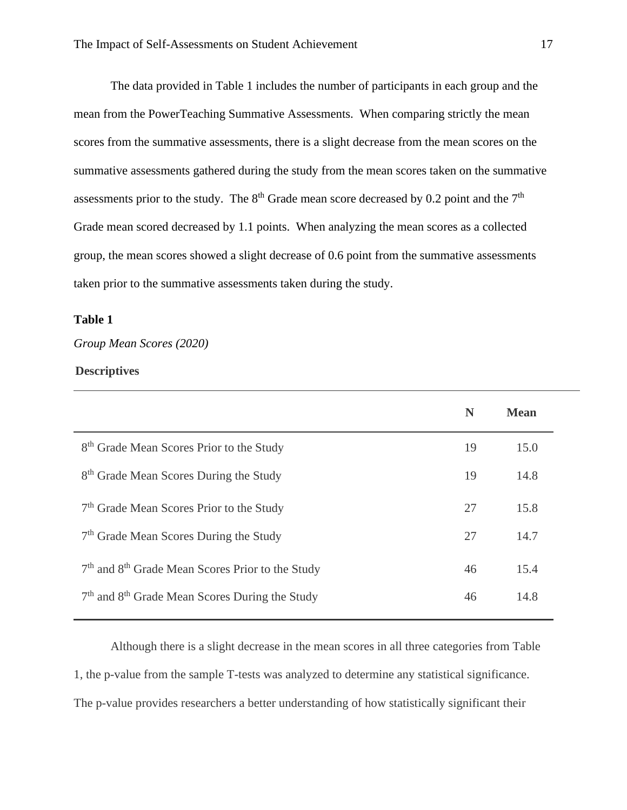The data provided in Table 1 includes the number of participants in each group and the mean from the PowerTeaching Summative Assessments. When comparing strictly the mean scores from the summative assessments, there is a slight decrease from the mean scores on the summative assessments gathered during the study from the mean scores taken on the summative assessments prior to the study. The  $8<sup>th</sup>$  Grade mean score decreased by 0.2 point and the  $7<sup>th</sup>$ Grade mean scored decreased by 1.1 points. When analyzing the mean scores as a collected group, the mean scores showed a slight decrease of 0.6 point from the summative assessments taken prior to the summative assessments taken during the study.

## **Table 1**

# *Group Mean Scores (2020)*

### **Descriptives**

| N  | <b>Mean</b> |
|----|-------------|
| 19 | 15.0        |
| 19 | 14.8        |
| 27 | 15.8        |
| 27 | 14.7        |
| 46 | 15.4        |
| 46 | 14.8        |
|    |             |

Although there is a slight decrease in the mean scores in all three categories from Table 1, the p-value from the sample T-tests was analyzed to determine any statistical significance. The p-value provides researchers a better understanding of how statistically significant their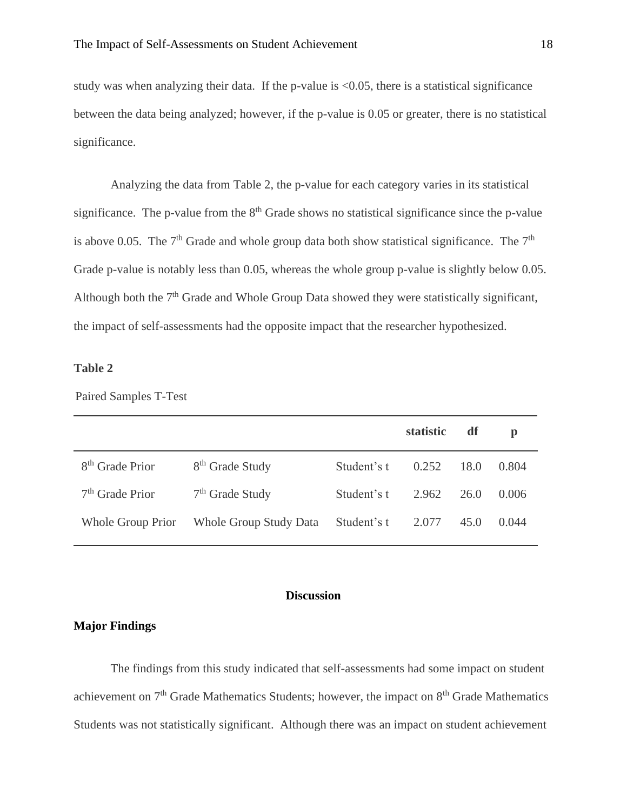study was when analyzing their data. If the p-value is  $\langle 0.05 \rangle$ , there is a statistical significance between the data being analyzed; however, if the p-value is 0.05 or greater, there is no statistical significance.

Analyzing the data from Table 2, the p-value for each category varies in its statistical significance. The p-value from the  $8<sup>th</sup>$  Grade shows no statistical significance since the p-value is above 0.05. The  $7<sup>th</sup>$  Grade and whole group data both show statistical significance. The  $7<sup>th</sup>$ Grade p-value is notably less than 0.05, whereas the whole group p-value is slightly below 0.05. Although both the 7<sup>th</sup> Grade and Whole Group Data showed they were statistically significant, the impact of self-assessments had the opposite impact that the researcher hypothesized.

# **Table 2**

Paired Samples T-Test

|                             |                               |             | <b>statistic</b> | df   | $\mathbf{p}$ |
|-----------------------------|-------------------------------|-------------|------------------|------|--------------|
| 8 <sup>th</sup> Grade Prior | 8 <sup>th</sup> Grade Study   | Student's t | 0.252            | 18.0 | 0.804        |
| $7th$ Grade Prior           | $7th$ Grade Study             | Student's t | 2.962            | 26.0 | 0.006        |
| Whole Group Prior           | <b>Whole Group Study Data</b> | Student's t | 2.077            | 45.0 | 0.044        |

### **Discussion**

# <span id="page-18-1"></span><span id="page-18-0"></span>**Major Findings**

The findings from this study indicated that self-assessments had some impact on student achievement on  $7<sup>th</sup>$  Grade Mathematics Students; however, the impact on  $8<sup>th</sup>$  Grade Mathematics Students was not statistically significant. Although there was an impact on student achievement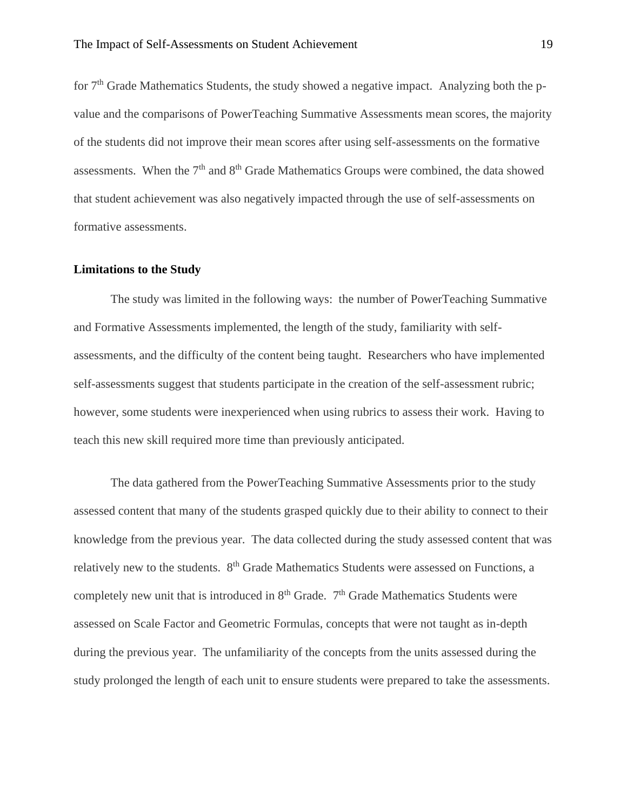for  $7<sup>th</sup>$  Grade Mathematics Students, the study showed a negative impact. Analyzing both the pvalue and the comparisons of PowerTeaching Summative Assessments mean scores, the majority of the students did not improve their mean scores after using self-assessments on the formative assessments. When the  $7<sup>th</sup>$  and  $8<sup>th</sup>$  Grade Mathematics Groups were combined, the data showed that student achievement was also negatively impacted through the use of self-assessments on formative assessments.

### <span id="page-19-0"></span>**Limitations to the Study**

The study was limited in the following ways: the number of PowerTeaching Summative and Formative Assessments implemented, the length of the study, familiarity with selfassessments, and the difficulty of the content being taught. Researchers who have implemented self-assessments suggest that students participate in the creation of the self-assessment rubric; however, some students were inexperienced when using rubrics to assess their work. Having to teach this new skill required more time than previously anticipated.

The data gathered from the PowerTeaching Summative Assessments prior to the study assessed content that many of the students grasped quickly due to their ability to connect to their knowledge from the previous year. The data collected during the study assessed content that was relatively new to the students. 8<sup>th</sup> Grade Mathematics Students were assessed on Functions, a completely new unit that is introduced in 8<sup>th</sup> Grade. 7<sup>th</sup> Grade Mathematics Students were assessed on Scale Factor and Geometric Formulas, concepts that were not taught as in-depth during the previous year. The unfamiliarity of the concepts from the units assessed during the study prolonged the length of each unit to ensure students were prepared to take the assessments.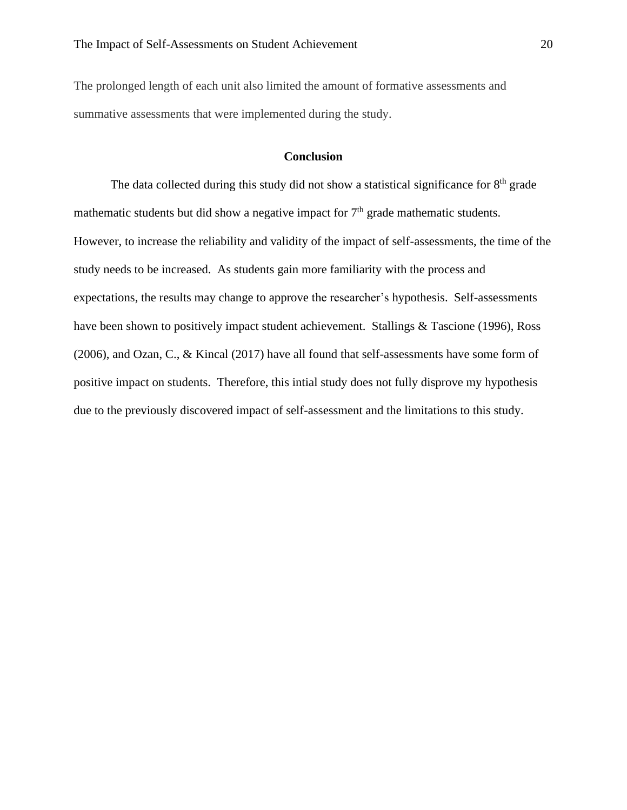The prolonged length of each unit also limited the amount of formative assessments and summative assessments that were implemented during the study.

# **Conclusion**

<span id="page-20-0"></span>The data collected during this study did not show a statistical significance for  $8<sup>th</sup>$  grade mathematic students but did show a negative impact for  $7<sup>th</sup>$  grade mathematic students. However, to increase the reliability and validity of the impact of self-assessments, the time of the study needs to be increased. As students gain more familiarity with the process and expectations, the results may change to approve the researcher's hypothesis. Self-assessments have been shown to positively impact student achievement. Stallings & Tascione (1996), Ross (2006), and Ozan, C., & Kincal (2017) have all found that self-assessments have some form of positive impact on students. Therefore, this intial study does not fully disprove my hypothesis due to the previously discovered impact of self-assessment and the limitations to this study.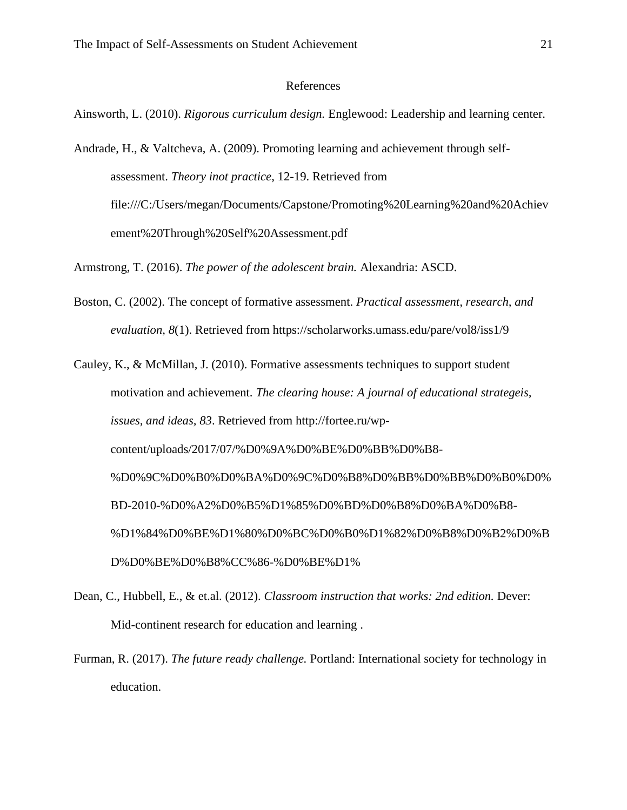### References

<span id="page-21-0"></span>Ainsworth, L. (2010). *Rigorous curriculum design.* Englewood: Leadership and learning center.

Andrade, H., & Valtcheva, A. (2009). Promoting learning and achievement through selfassessment. *Theory inot practice*, 12-19. Retrieved from file:///C:/Users/megan/Documents/Capstone/Promoting%20Learning%20and%20Achiev ement%20Through%20Self%20Assessment.pdf

Armstrong, T. (2016). *The power of the adolescent brain.* Alexandria: ASCD.

Boston, C. (2002). The concept of formative assessment. *Practical assessment, research, and evaluation, 8*(1). Retrieved from https://scholarworks.umass.edu/pare/vol8/iss1/9

Cauley, K., & McMillan, J. (2010). Formative assessments techniques to support student motivation and achievement. *The clearing house: A journal of educational strategeis, issues, and ideas, 83*. Retrieved from http://fortee.ru/wpcontent/uploads/2017/07/%D0%9A%D0%BE%D0%BB%D0%B8- %D0%9C%D0%B0%D0%BA%D0%9C%D0%B8%D0%BB%D0%BB%D0%B0%D0% BD-2010-%D0%A2%D0%B5%D1%85%D0%BD%D0%B8%D0%BA%D0%B8- %D1%84%D0%BE%D1%80%D0%BC%D0%B0%D1%82%D0%B8%D0%B2%D0%B D%D0%BE%D0%B8%CC%86-%D0%BE%D1%

- Dean, C., Hubbell, E., & et.al. (2012). *Classroom instruction that works: 2nd edition.* Dever: Mid-continent research for education and learning .
- Furman, R. (2017). *The future ready challenge.* Portland: International society for technology in education.